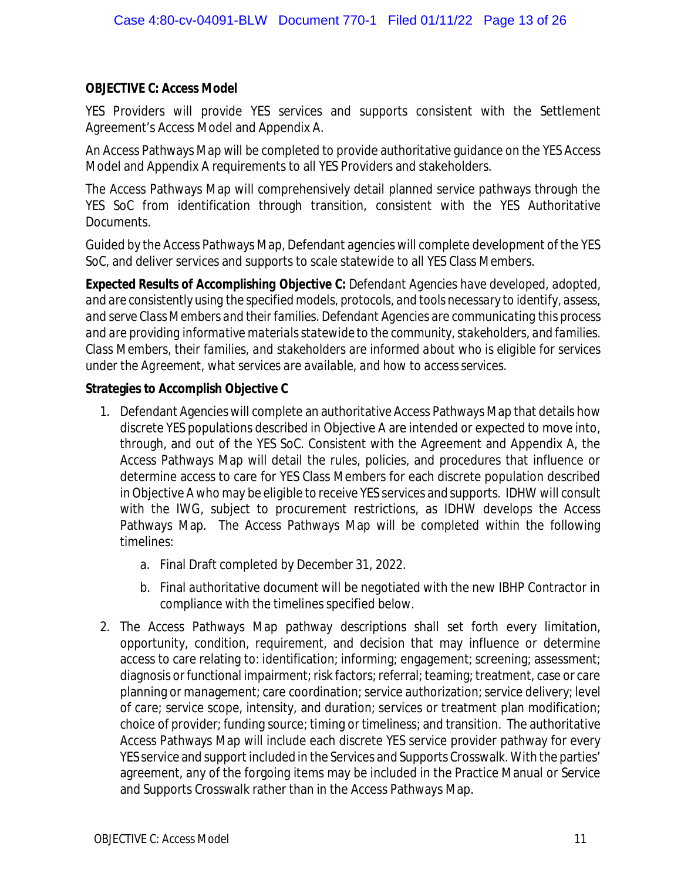## **OBJECTIVE C: Access Model**

YES Providers will provide YES services and supports consistent with the Settlement Agreement's Access Model and Appendix A.

An Access Pathways Map will be completed to provide authoritative guidance on the YES Access Model and Appendix A requirements to all YES Providers and stakeholders.

The Access Pathways Map will comprehensively detail planned service pathways through the YES SoC from identification through transition, consistent with the YES Authoritative Documents.

Guided by the Access Pathways Map, Defendant agencies will complete development of the YES SoC, and deliver services and supports to scale statewide to all YES Class Members.

*Expected Results of Accomplishing Objective C: Defendant Agencies have developed, adopted, and are consistently using the specified models, protocols, and tools necessary to identify, assess, and serve Class Members and their families. Defendant Agencies are communicating this process and are providing informative materials statewide to the community, stakeholders, and families. Class Members, their families, and stakeholders are informed about who is eligible for services under the Agreement, what services are available, and how to access services.*

**Strategies to Accomplish Objective C**

- 1. Defendant Agencies will complete an authoritative Access Pathways Map that details how discrete YES populations described in Objective A are intended or expected to move into, through, and out of the YES SoC. Consistent with the Agreement and Appendix A, the Access Pathways Map will detail the rules, policies, and procedures that influence or determine access to care for YES Class Members for each discrete population described in Objective A who may be eligible to receive YES services and supports. IDHW will consult with the IWG, subject to procurement restrictions, as IDHW develops the Access Pathways Map. The Access Pathways Map will be completed within the following timelines:
	- a. Final Draft completed by December 31, 2022.
	- b. Final authoritative document will be negotiated with the new IBHP Contractor in compliance with the timelines specified below.
- 2. The Access Pathways Map pathway descriptions shall set forth every limitation, opportunity, condition, requirement, and decision that may influence or determine access to care relating to: identification; informing; engagement; screening; assessment; diagnosis or functional impairment; risk factors; referral; teaming; treatment, case or care planning or management; care coordination; service authorization; service delivery; level of care; service scope, intensity, and duration; services or treatment plan modification; choice of provider; funding source; timing or timeliness; and transition. The authoritative Access Pathways Map will include each discrete YES service provider pathway for every YES service and support included in the Services and Supports Crosswalk. With the parties' agreement, any of the forgoing items may be included in the Practice Manual or Service and Supports Crosswalk rather than in the Access Pathways Map.